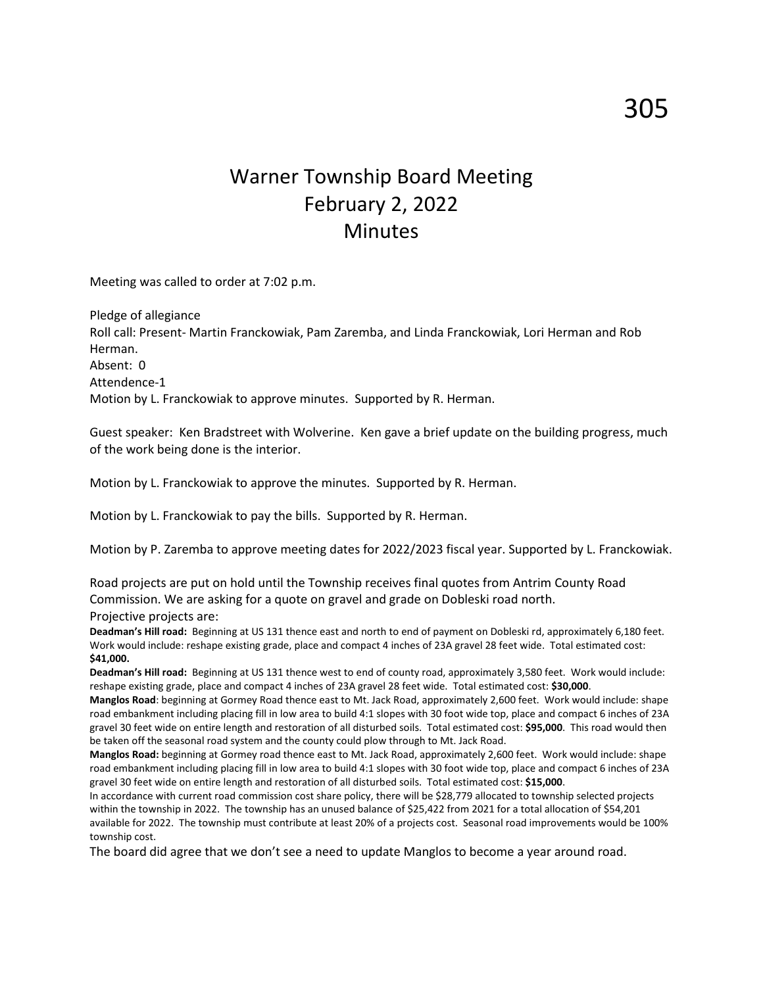## Warner Township Board Meeting February 2, 2022 **Minutes**

Meeting was called to order at 7:02 p.m.

Pledge of allegiance Roll call: Present- Martin Franckowiak, Pam Zaremba, and Linda Franckowiak, Lori Herman and Rob Herman. Absent: 0 Attendence-1 Motion by L. Franckowiak to approve minutes. Supported by R. Herman.

Guest speaker: Ken Bradstreet with Wolverine. Ken gave a brief update on the building progress, much of the work being done is the interior.

Motion by L. Franckowiak to approve the minutes. Supported by R. Herman.

Motion by L. Franckowiak to pay the bills. Supported by R. Herman.

Motion by P. Zaremba to approve meeting dates for 2022/2023 fiscal year. Supported by L. Franckowiak.

Road projects are put on hold until the Township receives final quotes from Antrim County Road Commission. We are asking for a quote on gravel and grade on Dobleski road north. Projective projects are:

**Deadman's Hill road:** Beginning at US 131 thence east and north to end of payment on Dobleski rd, approximately 6,180 feet. Work would include: reshape existing grade, place and compact 4 inches of 23A gravel 28 feet wide. Total estimated cost: **\$41,000.**

**Deadman's Hill road:** Beginning at US 131 thence west to end of county road, approximately 3,580 feet. Work would include: reshape existing grade, place and compact 4 inches of 23A gravel 28 feet wide. Total estimated cost: **\$30,000**.

**Manglos Road**: beginning at Gormey Road thence east to Mt. Jack Road, approximately 2,600 feet. Work would include: shape road embankment including placing fill in low area to build 4:1 slopes with 30 foot wide top, place and compact 6 inches of 23A gravel 30 feet wide on entire length and restoration of all disturbed soils. Total estimated cost: **\$95,000**. This road would then be taken off the seasonal road system and the county could plow through to Mt. Jack Road.

**Manglos Road:** beginning at Gormey road thence east to Mt. Jack Road, approximately 2,600 feet. Work would include: shape road embankment including placing fill in low area to build 4:1 slopes with 30 foot wide top, place and compact 6 inches of 23A gravel 30 feet wide on entire length and restoration of all disturbed soils. Total estimated cost: **\$15,000**.

In accordance with current road commission cost share policy, there will be \$28,779 allocated to township selected projects within the township in 2022. The township has an unused balance of \$25,422 from 2021 for a total allocation of \$54,201 available for 2022. The township must contribute at least 20% of a projects cost. Seasonal road improvements would be 100% township cost.

The board did agree that we don't see a need to update Manglos to become a year around road.